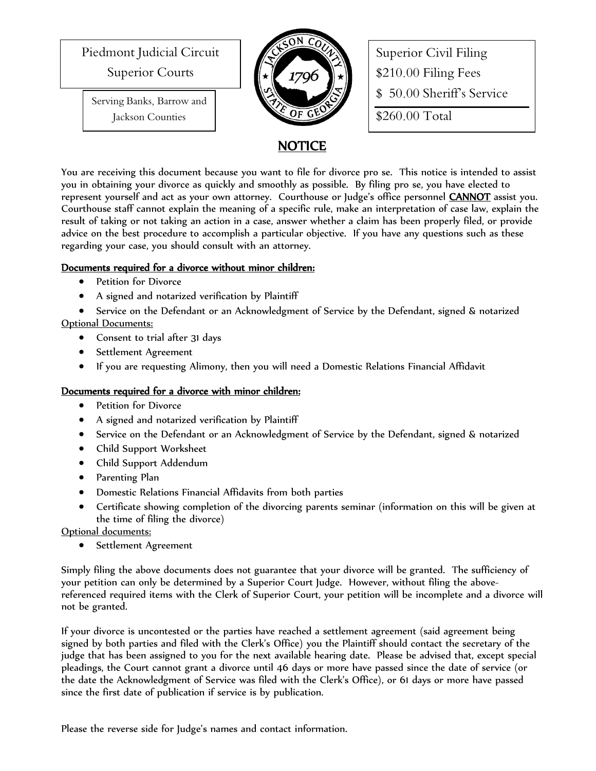Piedmont Judicial Circuit

Superior Courts

Serving Banks, Barrow and Jackson Counties



Superior Civil Filing \$210.00 Filing Fees \$ 50.00 Sheriff's Service \$260.00 Total

## NOTICE

You are receiving this document because you want to file for divorce pro se. This notice is intended to assist you in obtaining your divorce as quickly and smoothly as possible. By filing pro se, you have elected to represent yourself and act as your own attorney. Courthouse or Judge's office personnel **CANNOT** assist you. Courthouse staff cannot explain the meaning of a specific rule, make an interpretation of case law, explain the result of taking or not taking an action in a case, answer whether a claim has been properly filed, or provide advice on the best procedure to accomplish a particular objective. If you have any questions such as these regarding your case, you should consult with an attorney.

## Documents required for a divorce without minor children:

- Petition for Divorce
- A signed and notarized verification by Plaintiff
- Service on the Defendant or an Acknowledgment of Service by the Defendant, signed & notarized Optional Documents:
	- Consent to trial after 31 days
	- Settlement Agreement
	- If you are requesting Alimony, then you will need a Domestic Relations Financial Affidavit

## Documents required for a divorce with minor children:

- Petition for Divorce
- A signed and notarized verification by Plaintiff
- Service on the Defendant or an Acknowledgment of Service by the Defendant, signed & notarized
- Child Support Worksheet
- Child Support Addendum
- Parenting Plan
- Domestic Relations Financial Affidavits from both parties
- Certificate showing completion of the divorcing parents seminar (information on this will be given at the time of filing the divorce)

## Optional documents:

• Settlement Agreement

Simply filing the above documents does not guarantee that your divorce will be granted. The sufficiency of your petition can only be determined by a Superior Court Judge. However, without filing the abovereferenced required items with the Clerk of Superior Court, your petition will be incomplete and a divorce will not be granted.

If your divorce is uncontested or the parties have reached a settlement agreement (said agreement being signed by both parties and filed with the Clerk's Office) you the Plaintiff should contact the secretary of the judge that has been assigned to you for the next available hearing date. Please be advised that, except special pleadings, the Court cannot grant a divorce until 46 days or more have passed since the date of service (or the date the Acknowledgment of Service was filed with the Clerk's Office), or 61 days or more have passed since the first date of publication if service is by publication.

Please the reverse side for Judge's names and contact information.